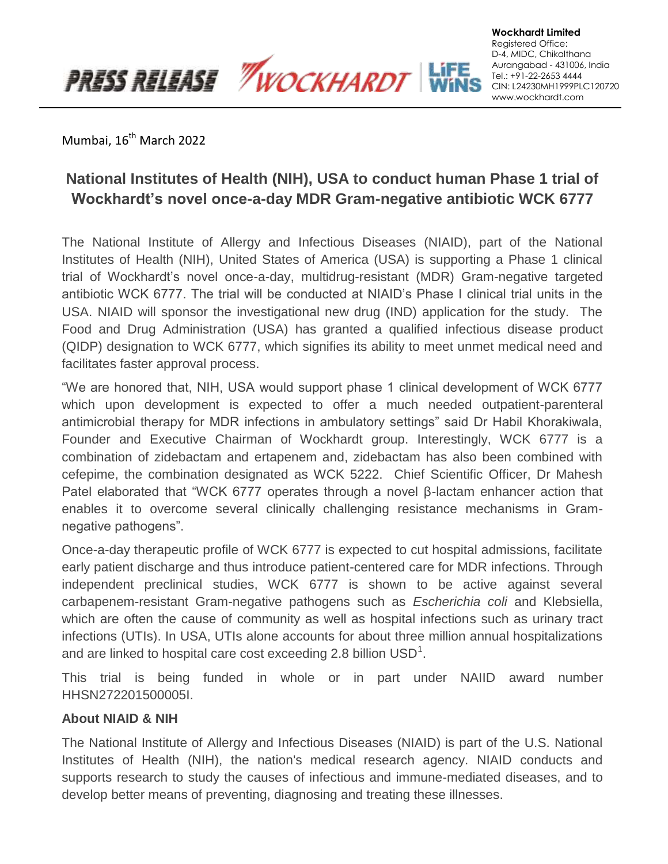Mumbai, 16<sup>th</sup> March 2022

**PRESS RELEASE WOCKHARDT** 

## **National Institutes of Health (NIH), USA to conduct human Phase 1 trial of Wockhardt's novel once-a-day MDR Gram-negative antibiotic WCK 6777**

**Wockhardt Limited** Registered Office: D-4, MIDC, Chikalthana Aurangabad - 431006, India Tel.: +91-22-2653 4444 CIN: L24230MH1999PLC120720 www.wockhardt.com

The National Institute of Allergy and Infectious Diseases (NIAID), part of the National Institutes of Health (NIH), United States of America (USA) is supporting a Phase 1 clinical trial of Wockhardt's novel once-a-day, multidrug-resistant (MDR) Gram-negative targeted antibiotic WCK 6777. The trial will be conducted at NIAID's Phase I clinical trial units in the USA. NIAID will sponsor the investigational new drug (IND) application for the study. The Food and Drug Administration (USA) has granted a qualified infectious disease product (QIDP) designation to WCK 6777, which signifies its ability to meet unmet medical need and facilitates faster approval process.

"We are honored that, NIH, USA would support phase 1 clinical development of WCK 6777 which upon development is expected to offer a much needed outpatient-parenteral antimicrobial therapy for MDR infections in ambulatory settings" said Dr Habil Khorakiwala, Founder and Executive Chairman of Wockhardt group. Interestingly, WCK 6777 is a combination of zidebactam and ertapenem and, zidebactam has also been combined with cefepime, the combination designated as WCK 5222. Chief Scientific Officer, Dr Mahesh Patel elaborated that "WCK 6777 operates through a novel β-lactam enhancer action that enables it to overcome several clinically challenging resistance mechanisms in Gramnegative pathogens".

Once-a-day therapeutic profile of WCK 6777 is expected to cut hospital admissions, facilitate early patient discharge and thus introduce patient-centered care for MDR infections. Through independent preclinical studies, WCK 6777 is shown to be active against several carbapenem-resistant Gram-negative pathogens such as *Escherichia coli* and Klebsiella, which are often the cause of community as well as hospital infections such as urinary tract infections (UTIs). In USA, UTIs alone accounts for about three million annual hospitalizations and are linked to hospital care cost exceeding 2.8 billion  $\text{USD}^1$ .

This trial is being funded in whole or in part under NAIID award number HHSN272201500005I.

## **About NIAID & NIH**

The National Institute of Allergy and Infectious Diseases (NIAID) is part of the U.S. National Institutes of Health (NIH), the nation's medical research agency. NIAID conducts and supports research to study the causes of infectious and immune-mediated diseases, and to develop better means of preventing, diagnosing and treating these illnesses.